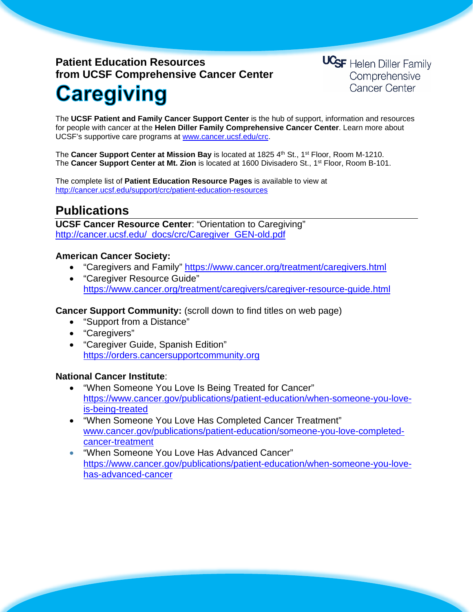# **Patient Education Resources from UCSF Comprehensive Cancer Center Caregiving**

**UCSF** Helen Diller Family Comprehensive **Cancer Center** 

The **UCSF Patient and Family Cancer Support Center** is the hub of support, information and resources for people with cancer at the **Helen Diller Family Comprehensive Cancer Center**. Learn more about UCSF's supportive care programs at [www.cancer.ucsf.edu/crc.](http://www.cancer.ucsf.edu/crc)

The **Cancer Support Center at Mission Bay** is located at 1825 4th St., 1<sup>st</sup> Floor, Room M-1210. The **Cancer Support Center at Mt. Zion** is located at 1600 Divisadero St., 1st Floor, Room B-101.

The complete list of **Patient Education Resource Pages** is available to view at <http://cancer.ucsf.edu/support/crc/patient-education-resources>

### **Publications**

**UCSF Cancer Resource Center**: "Orientation to Caregiving" [http://cancer.ucsf.edu/\\_docs/crc/Caregiver\\_GEN-old.pdf](http://cancer.ucsf.edu/_docs/crc/Caregiver_GEN-old.pdf)

#### **American Cancer Society:**

- "Caregivers and Family" <https://www.cancer.org/treatment/caregivers.html>
- "Caregiver Resource Guide" https://www.cancer.org/treatment/caregivers/caregiver-resource-guide.html

**Cancer Support Community:** (scroll down to find titles on web page)

- "Support from a Distance"
- "Caregivers"
- "Caregiver Guide, Spanish Edition" [https://orders.cancersupportcommunity.org](https://orders.cancersupportcommunity.org/)

#### **National Cancer Institute**:

- "When Someone You Love Is Being Treated for Cancer" https://www.cancer.gov/publications/patient-education/when-someone-you-loveis-being-treated
- "When Someone You Love Has Completed Cancer Treatment" [www.cancer.gov/publications/patient-education/someone-you-love-completed](http://www.cancer.gov/publications/patient-education/someone-you-love-completed-cancer-treatment)[cancer-treatment](http://www.cancer.gov/publications/patient-education/someone-you-love-completed-cancer-treatment)
- "When Someone You Love Has Advanced Cancer" [https://www.cancer.gov/publications/patient-education/when-someone-you-love](https://www.cancer.gov/publications/patient-education/when-someone-you-love-has-advanced-cancer)[has-advanced-cancer](https://www.cancer.gov/publications/patient-education/when-someone-you-love-has-advanced-cancer)